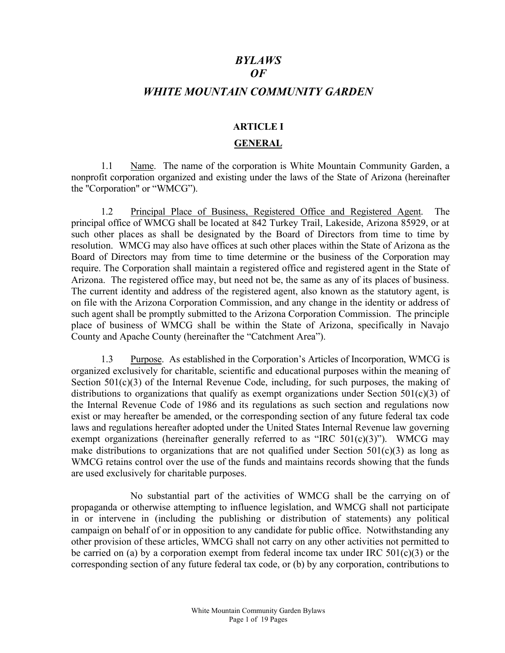# BYLAWS  $\overline{OF}$ WHITE MOUNTAIN COMMUNITY GARDEN

#### ARTICLE I

#### GENERAL

 1.1 Name. The name of the corporation is White Mountain Community Garden, a nonprofit corporation organized and existing under the laws of the State of Arizona (hereinafter the "Corporation" or "WMCG").

1.2 Principal Place of Business, Registered Office and Registered Agent. The principal office of WMCG shall be located at 842 Turkey Trail, Lakeside, Arizona 85929, or at such other places as shall be designated by the Board of Directors from time to time by resolution. WMCG may also have offices at such other places within the State of Arizona as the Board of Directors may from time to time determine or the business of the Corporation may require. The Corporation shall maintain a registered office and registered agent in the State of Arizona. The registered office may, but need not be, the same as any of its places of business. The current identity and address of the registered agent, also known as the statutory agent, is on file with the Arizona Corporation Commission, and any change in the identity or address of such agent shall be promptly submitted to the Arizona Corporation Commission. The principle place of business of WMCG shall be within the State of Arizona, specifically in Navajo County and Apache County (hereinafter the "Catchment Area").

1.3 Purpose. As established in the Corporation's Articles of Incorporation, WMCG is organized exclusively for charitable, scientific and educational purposes within the meaning of Section  $501(c)(3)$  of the Internal Revenue Code, including, for such purposes, the making of distributions to organizations that qualify as exempt organizations under Section 501(c)(3) of the Internal Revenue Code of 1986 and its regulations as such section and regulations now exist or may hereafter be amended, or the corresponding section of any future federal tax code laws and regulations hereafter adopted under the United States Internal Revenue law governing exempt organizations (hereinafter generally referred to as "IRC  $501(c)(3)$ "). WMCG may make distributions to organizations that are not qualified under Section  $501(c)(3)$  as long as WMCG retains control over the use of the funds and maintains records showing that the funds are used exclusively for charitable purposes.

No substantial part of the activities of WMCG shall be the carrying on of propaganda or otherwise attempting to influence legislation, and WMCG shall not participate in or intervene in (including the publishing or distribution of statements) any political campaign on behalf of or in opposition to any candidate for public office. Notwithstanding any other provision of these articles, WMCG shall not carry on any other activities not permitted to be carried on (a) by a corporation exempt from federal income tax under IRC 501(c)(3) or the corresponding section of any future federal tax code, or (b) by any corporation, contributions to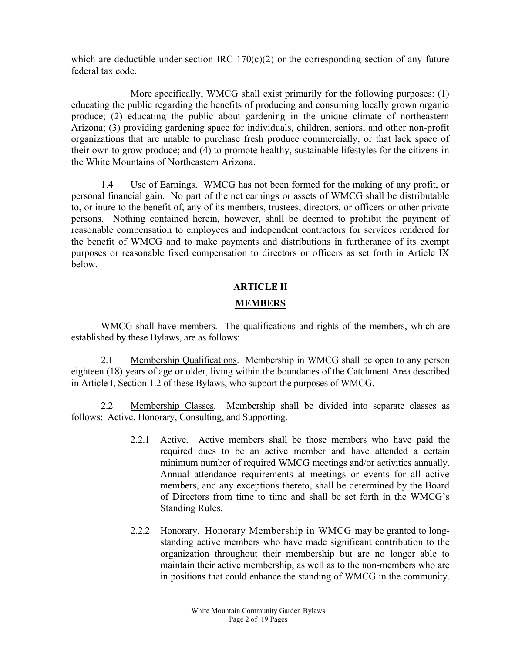which are deductible under section IRC  $170(c)(2)$  or the corresponding section of any future federal tax code.

More specifically, WMCG shall exist primarily for the following purposes: (1) educating the public regarding the benefits of producing and consuming locally grown organic produce; (2) educating the public about gardening in the unique climate of northeastern Arizona; (3) providing gardening space for individuals, children, seniors, and other non-profit organizations that are unable to purchase fresh produce commercially, or that lack space of their own to grow produce; and (4) to promote healthy, sustainable lifestyles for the citizens in the White Mountains of Northeastern Arizona.

 1.4 Use of Earnings. WMCG has not been formed for the making of any profit, or personal financial gain. No part of the net earnings or assets of WMCG shall be distributable to, or inure to the benefit of, any of its members, trustees, directors, or officers or other private persons. Nothing contained herein, however, shall be deemed to prohibit the payment of reasonable compensation to employees and independent contractors for services rendered for the benefit of WMCG and to make payments and distributions in furtherance of its exempt purposes or reasonable fixed compensation to directors or officers as set forth in Article IX below.

#### ARTICLE II

#### MEMBERS

 WMCG shall have members. The qualifications and rights of the members, which are established by these Bylaws, are as follows:

2.1 Membership Qualifications. Membership in WMCG shall be open to any person eighteen (18) years of age or older, living within the boundaries of the Catchment Area described in Article I, Section 1.2 of these Bylaws, who support the purposes of WMCG.

2.2 Membership Classes. Membership shall be divided into separate classes as follows: Active, Honorary, Consulting, and Supporting.

- 2.2.1 Active. Active members shall be those members who have paid the required dues to be an active member and have attended a certain minimum number of required WMCG meetings and/or activities annually. Annual attendance requirements at meetings or events for all active members, and any exceptions thereto, shall be determined by the Board of Directors from time to time and shall be set forth in the WMCG's Standing Rules.
- 2.2.2 Honorary. Honorary Membership in WMCG may be granted to longstanding active members who have made significant contribution to the organization throughout their membership but are no longer able to maintain their active membership, as well as to the non-members who are in positions that could enhance the standing of WMCG in the community.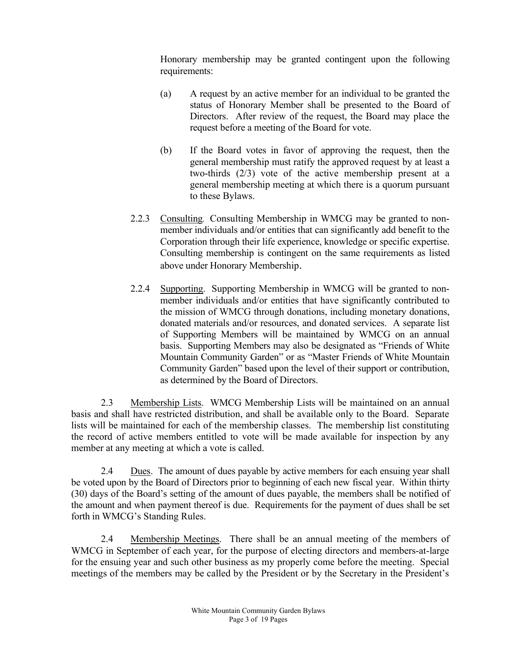Honorary membership may be granted contingent upon the following requirements:

- (a) A request by an active member for an individual to be granted the status of Honorary Member shall be presented to the Board of Directors. After review of the request, the Board may place the request before a meeting of the Board for vote.
- (b) If the Board votes in favor of approving the request, then the general membership must ratify the approved request by at least a two-thirds (2/3) vote of the active membership present at a general membership meeting at which there is a quorum pursuant to these Bylaws.
- 2.2.3 Consulting. Consulting Membership in WMCG may be granted to nonmember individuals and/or entities that can significantly add benefit to the Corporation through their life experience, knowledge or specific expertise. Consulting membership is contingent on the same requirements as listed above under Honorary Membership.
- 2.2.4 Supporting. Supporting Membership in WMCG will be granted to nonmember individuals and/or entities that have significantly contributed to the mission of WMCG through donations, including monetary donations, donated materials and/or resources, and donated services. A separate list of Supporting Members will be maintained by WMCG on an annual basis. Supporting Members may also be designated as "Friends of White Mountain Community Garden" or as "Master Friends of White Mountain Community Garden" based upon the level of their support or contribution, as determined by the Board of Directors.

2.3 Membership Lists. WMCG Membership Lists will be maintained on an annual basis and shall have restricted distribution, and shall be available only to the Board. Separate lists will be maintained for each of the membership classes. The membership list constituting the record of active members entitled to vote will be made available for inspection by any member at any meeting at which a vote is called.

2.4 Dues. The amount of dues payable by active members for each ensuing year shall be voted upon by the Board of Directors prior to beginning of each new fiscal year. Within thirty (30) days of the Board's setting of the amount of dues payable, the members shall be notified of the amount and when payment thereof is due. Requirements for the payment of dues shall be set forth in WMCG's Standing Rules.

2.4 Membership Meetings. There shall be an annual meeting of the members of WMCG in September of each year, for the purpose of electing directors and members-at-large for the ensuing year and such other business as my properly come before the meeting. Special meetings of the members may be called by the President or by the Secretary in the President's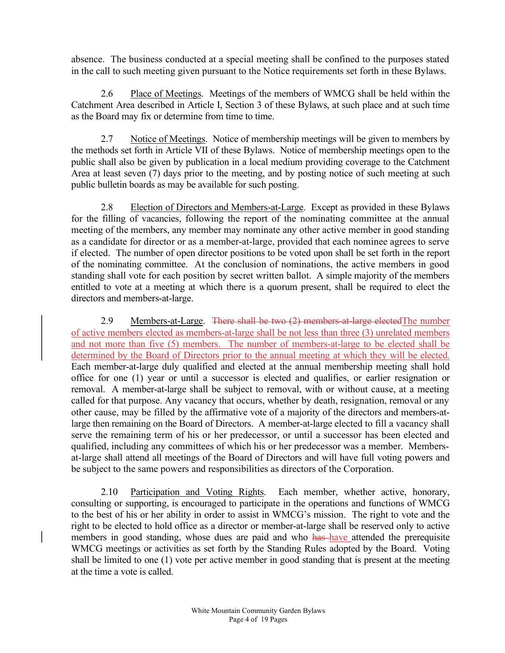absence. The business conducted at a special meeting shall be confined to the purposes stated in the call to such meeting given pursuant to the Notice requirements set forth in these Bylaws.

 2.6 Place of Meetings. Meetings of the members of WMCG shall be held within the Catchment Area described in Article I, Section 3 of these Bylaws, at such place and at such time as the Board may fix or determine from time to time.

2.7 Notice of Meetings. Notice of membership meetings will be given to members by the methods set forth in Article VII of these Bylaws. Notice of membership meetings open to the public shall also be given by publication in a local medium providing coverage to the Catchment Area at least seven (7) days prior to the meeting, and by posting notice of such meeting at such public bulletin boards as may be available for such posting.

 2.8 Election of Directors and Members-at-Large. Except as provided in these Bylaws for the filling of vacancies, following the report of the nominating committee at the annual meeting of the members, any member may nominate any other active member in good standing as a candidate for director or as a member-at-large, provided that each nominee agrees to serve if elected. The number of open director positions to be voted upon shall be set forth in the report of the nominating committee. At the conclusion of nominations, the active members in good standing shall vote for each position by secret written ballot. A simple majority of the members entitled to vote at a meeting at which there is a quorum present, shall be required to elect the directors and members-at-large.

2.9 Members-at-Large. There shall be two (2) members-at-large elected The number of active members elected as members-at-large shall be not less than three (3) unrelated members and not more than five (5) members. The number of members-at-large to be elected shall be determined by the Board of Directors prior to the annual meeting at which they will be elected. Each member-at-large duly qualified and elected at the annual membership meeting shall hold office for one (1) year or until a successor is elected and qualifies, or earlier resignation or removal. A member-at-large shall be subject to removal, with or without cause, at a meeting called for that purpose. Any vacancy that occurs, whether by death, resignation, removal or any other cause, may be filled by the affirmative vote of a majority of the directors and members-atlarge then remaining on the Board of Directors. A member-at-large elected to fill a vacancy shall serve the remaining term of his or her predecessor, or until a successor has been elected and qualified, including any committees of which his or her predecessor was a member. Membersat-large shall attend all meetings of the Board of Directors and will have full voting powers and be subject to the same powers and responsibilities as directors of the Corporation.

2.10 Participation and Voting Rights. Each member, whether active, honorary, consulting or supporting, is encouraged to participate in the operations and functions of WMCG to the best of his or her ability in order to assist in WMCG's mission. The right to vote and the right to be elected to hold office as a director or member-at-large shall be reserved only to active members in good standing, whose dues are paid and who has have attended the prerequisite WMCG meetings or activities as set forth by the Standing Rules adopted by the Board. Voting shall be limited to one (1) vote per active member in good standing that is present at the meeting at the time a vote is called.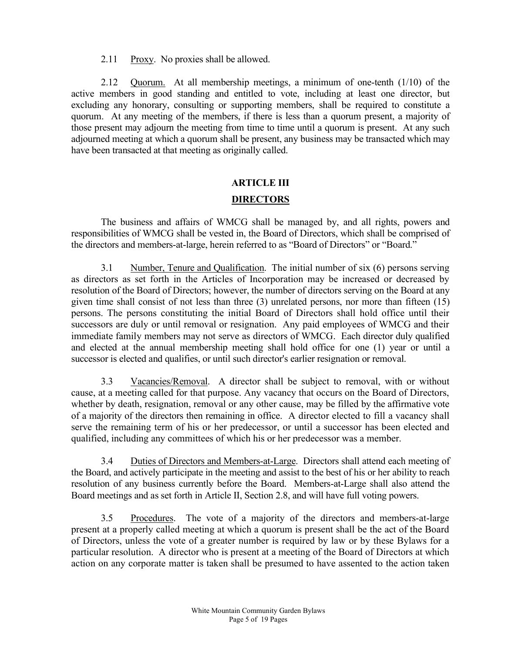2.11 Proxy. No proxies shall be allowed.

 2.12 Quorum. At all membership meetings, a minimum of one-tenth (1/10) of the active members in good standing and entitled to vote, including at least one director, but excluding any honorary, consulting or supporting members, shall be required to constitute a quorum. At any meeting of the members, if there is less than a quorum present, a majority of those present may adjourn the meeting from time to time until a quorum is present. At any such adjourned meeting at which a quorum shall be present, any business may be transacted which may have been transacted at that meeting as originally called.

# ARTICLE III

# **DIRECTORS**

 The business and affairs of WMCG shall be managed by, and all rights, powers and responsibilities of WMCG shall be vested in, the Board of Directors, which shall be comprised of the directors and members-at-large, herein referred to as "Board of Directors" or "Board."

 3.1 Number, Tenure and Qualification. The initial number of six (6) persons serving as directors as set forth in the Articles of Incorporation may be increased or decreased by resolution of the Board of Directors; however, the number of directors serving on the Board at any given time shall consist of not less than three (3) unrelated persons, nor more than fifteen (15) persons. The persons constituting the initial Board of Directors shall hold office until their successors are duly or until removal or resignation. Any paid employees of WMCG and their immediate family members may not serve as directors of WMCG. Each director duly qualified and elected at the annual membership meeting shall hold office for one (1) year or until a successor is elected and qualifies, or until such director's earlier resignation or removal.

 3.3 Vacancies/Removal. A director shall be subject to removal, with or without cause, at a meeting called for that purpose. Any vacancy that occurs on the Board of Directors, whether by death, resignation, removal or any other cause, may be filled by the affirmative vote of a majority of the directors then remaining in office. A director elected to fill a vacancy shall serve the remaining term of his or her predecessor, or until a successor has been elected and qualified, including any committees of which his or her predecessor was a member.

 3.4 Duties of Directors and Members-at-Large. Directors shall attend each meeting of the Board, and actively participate in the meeting and assist to the best of his or her ability to reach resolution of any business currently before the Board. Members-at-Large shall also attend the Board meetings and as set forth in Article II, Section 2.8, and will have full voting powers.

3.5 Procedures. The vote of a majority of the directors and members-at-large present at a properly called meeting at which a quorum is present shall be the act of the Board of Directors, unless the vote of a greater number is required by law or by these Bylaws for a particular resolution. A director who is present at a meeting of the Board of Directors at which action on any corporate matter is taken shall be presumed to have assented to the action taken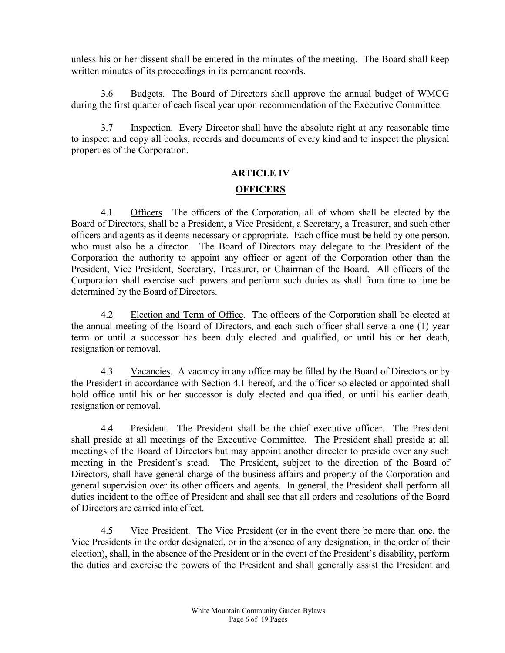unless his or her dissent shall be entered in the minutes of the meeting. The Board shall keep written minutes of its proceedings in its permanent records.

3.6 Budgets. The Board of Directors shall approve the annual budget of WMCG during the first quarter of each fiscal year upon recommendation of the Executive Committee.

3.7 Inspection. Every Director shall have the absolute right at any reasonable time to inspect and copy all books, records and documents of every kind and to inspect the physical properties of the Corporation.

#### ARTICLE IV

#### **OFFICERS**

 4.1 Officers. The officers of the Corporation, all of whom shall be elected by the Board of Directors, shall be a President, a Vice President, a Secretary, a Treasurer, and such other officers and agents as it deems necessary or appropriate. Each office must be held by one person, who must also be a director. The Board of Directors may delegate to the President of the Corporation the authority to appoint any officer or agent of the Corporation other than the President, Vice President, Secretary, Treasurer, or Chairman of the Board. All officers of the Corporation shall exercise such powers and perform such duties as shall from time to time be determined by the Board of Directors.

 4.2 Election and Term of Office. The officers of the Corporation shall be elected at the annual meeting of the Board of Directors, and each such officer shall serve a one (1) year term or until a successor has been duly elected and qualified, or until his or her death, resignation or removal.

 4.3 Vacancies. A vacancy in any office may be filled by the Board of Directors or by the President in accordance with Section 4.1 hereof, and the officer so elected or appointed shall hold office until his or her successor is duly elected and qualified, or until his earlier death, resignation or removal.

 4.4 President. The President shall be the chief executive officer. The President shall preside at all meetings of the Executive Committee. The President shall preside at all meetings of the Board of Directors but may appoint another director to preside over any such meeting in the President's stead. The President, subject to the direction of the Board of Directors, shall have general charge of the business affairs and property of the Corporation and general supervision over its other officers and agents. In general, the President shall perform all duties incident to the office of President and shall see that all orders and resolutions of the Board of Directors are carried into effect.

 4.5 Vice President. The Vice President (or in the event there be more than one, the Vice Presidents in the order designated, or in the absence of any designation, in the order of their election), shall, in the absence of the President or in the event of the President's disability, perform the duties and exercise the powers of the President and shall generally assist the President and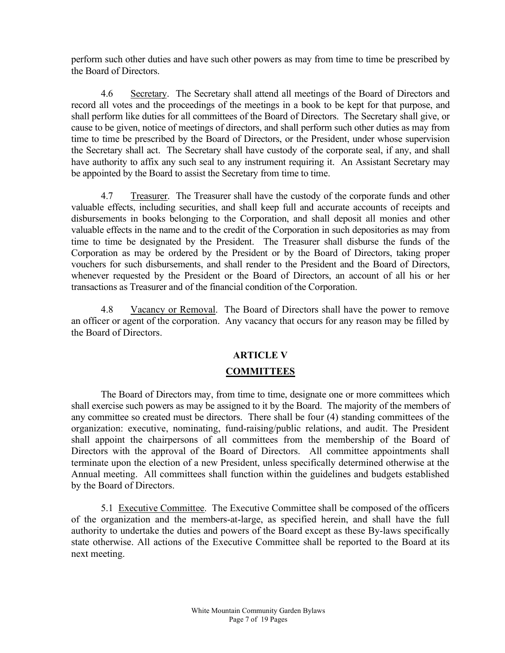perform such other duties and have such other powers as may from time to time be prescribed by the Board of Directors.

 4.6 Secretary. The Secretary shall attend all meetings of the Board of Directors and record all votes and the proceedings of the meetings in a book to be kept for that purpose, and shall perform like duties for all committees of the Board of Directors. The Secretary shall give, or cause to be given, notice of meetings of directors, and shall perform such other duties as may from time to time be prescribed by the Board of Directors, or the President, under whose supervision the Secretary shall act. The Secretary shall have custody of the corporate seal, if any, and shall have authority to affix any such seal to any instrument requiring it. An Assistant Secretary may be appointed by the Board to assist the Secretary from time to time.

 4.7 Treasurer. The Treasurer shall have the custody of the corporate funds and other valuable effects, including securities, and shall keep full and accurate accounts of receipts and disbursements in books belonging to the Corporation, and shall deposit all monies and other valuable effects in the name and to the credit of the Corporation in such depositories as may from time to time be designated by the President. The Treasurer shall disburse the funds of the Corporation as may be ordered by the President or by the Board of Directors, taking proper vouchers for such disbursements, and shall render to the President and the Board of Directors, whenever requested by the President or the Board of Directors, an account of all his or her transactions as Treasurer and of the financial condition of the Corporation.

 4.8 Vacancy or Removal. The Board of Directors shall have the power to remove an officer or agent of the corporation. Any vacancy that occurs for any reason may be filled by the Board of Directors.

# ARTICLE V

#### **COMMITTEES**

 The Board of Directors may, from time to time, designate one or more committees which shall exercise such powers as may be assigned to it by the Board. The majority of the members of any committee so created must be directors. There shall be four (4) standing committees of the organization: executive, nominating, fund-raising/public relations, and audit. The President shall appoint the chairpersons of all committees from the membership of the Board of Directors with the approval of the Board of Directors. All committee appointments shall terminate upon the election of a new President, unless specifically determined otherwise at the Annual meeting. All committees shall function within the guidelines and budgets established by the Board of Directors.

5.1 Executive Committee. The Executive Committee shall be composed of the officers of the organization and the members-at-large, as specified herein, and shall have the full authority to undertake the duties and powers of the Board except as these By-laws specifically state otherwise. All actions of the Executive Committee shall be reported to the Board at its next meeting.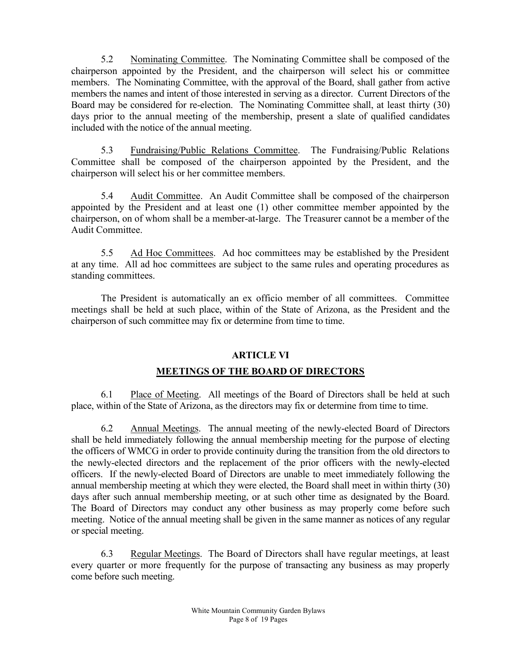5.2 Nominating Committee. The Nominating Committee shall be composed of the chairperson appointed by the President, and the chairperson will select his or committee members. The Nominating Committee, with the approval of the Board, shall gather from active members the names and intent of those interested in serving as a director. Current Directors of the Board may be considered for re-election. The Nominating Committee shall, at least thirty (30) days prior to the annual meeting of the membership, present a slate of qualified candidates included with the notice of the annual meeting.

5.3 Fundraising/Public Relations Committee. The Fundraising/Public Relations Committee shall be composed of the chairperson appointed by the President, and the chairperson will select his or her committee members.

5.4 Audit Committee. An Audit Committee shall be composed of the chairperson appointed by the President and at least one (1) other committee member appointed by the chairperson, on of whom shall be a member-at-large. The Treasurer cannot be a member of the Audit Committee.

5.5 Ad Hoc Committees. Ad hoc committees may be established by the President at any time. All ad hoc committees are subject to the same rules and operating procedures as standing committees.

The President is automatically an ex officio member of all committees. Committee meetings shall be held at such place, within of the State of Arizona, as the President and the chairperson of such committee may fix or determine from time to time.

# ARTICLE VI

# MEETINGS OF THE BOARD OF DIRECTORS

 6.1 Place of Meeting. All meetings of the Board of Directors shall be held at such place, within of the State of Arizona, as the directors may fix or determine from time to time.

 6.2 Annual Meetings. The annual meeting of the newly-elected Board of Directors shall be held immediately following the annual membership meeting for the purpose of electing the officers of WMCG in order to provide continuity during the transition from the old directors to the newly-elected directors and the replacement of the prior officers with the newly-elected officers. If the newly-elected Board of Directors are unable to meet immediately following the annual membership meeting at which they were elected, the Board shall meet in within thirty (30) days after such annual membership meeting, or at such other time as designated by the Board. The Board of Directors may conduct any other business as may properly come before such meeting. Notice of the annual meeting shall be given in the same manner as notices of any regular or special meeting.

6.3 Regular Meetings. The Board of Directors shall have regular meetings, at least every quarter or more frequently for the purpose of transacting any business as may properly come before such meeting.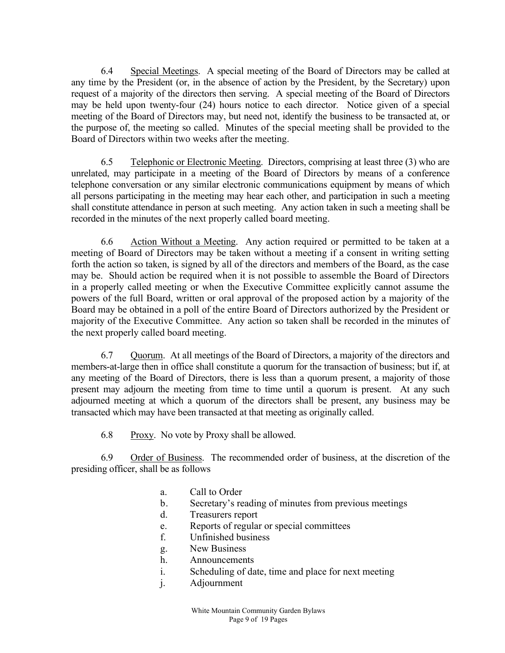6.4 Special Meetings. A special meeting of the Board of Directors may be called at any time by the President (or, in the absence of action by the President, by the Secretary) upon request of a majority of the directors then serving. A special meeting of the Board of Directors may be held upon twenty-four (24) hours notice to each director. Notice given of a special meeting of the Board of Directors may, but need not, identify the business to be transacted at, or the purpose of, the meeting so called. Minutes of the special meeting shall be provided to the Board of Directors within two weeks after the meeting.

 6.5 Telephonic or Electronic Meeting. Directors, comprising at least three (3) who are unrelated, may participate in a meeting of the Board of Directors by means of a conference telephone conversation or any similar electronic communications equipment by means of which all persons participating in the meeting may hear each other, and participation in such a meeting shall constitute attendance in person at such meeting. Any action taken in such a meeting shall be recorded in the minutes of the next properly called board meeting.

 6.6 Action Without a Meeting. Any action required or permitted to be taken at a meeting of Board of Directors may be taken without a meeting if a consent in writing setting forth the action so taken, is signed by all of the directors and members of the Board, as the case may be. Should action be required when it is not possible to assemble the Board of Directors in a properly called meeting or when the Executive Committee explicitly cannot assume the powers of the full Board, written or oral approval of the proposed action by a majority of the Board may be obtained in a poll of the entire Board of Directors authorized by the President or majority of the Executive Committee. Any action so taken shall be recorded in the minutes of the next properly called board meeting.

 6.7 Quorum. At all meetings of the Board of Directors, a majority of the directors and members-at-large then in office shall constitute a quorum for the transaction of business; but if, at any meeting of the Board of Directors, there is less than a quorum present, a majority of those present may adjourn the meeting from time to time until a quorum is present. At any such adjourned meeting at which a quorum of the directors shall be present, any business may be transacted which may have been transacted at that meeting as originally called.

6.8 Proxy. No vote by Proxy shall be allowed.

6.9 Order of Business. The recommended order of business, at the discretion of the presiding officer, shall be as follows

- a. Call to Order
- b. Secretary's reading of minutes from previous meetings
- d. Treasurers report
- e. Reports of regular or special committees
- f. Unfinished business
- g. New Business
- h. Announcements
- i. Scheduling of date, time and place for next meeting
- j. Adjournment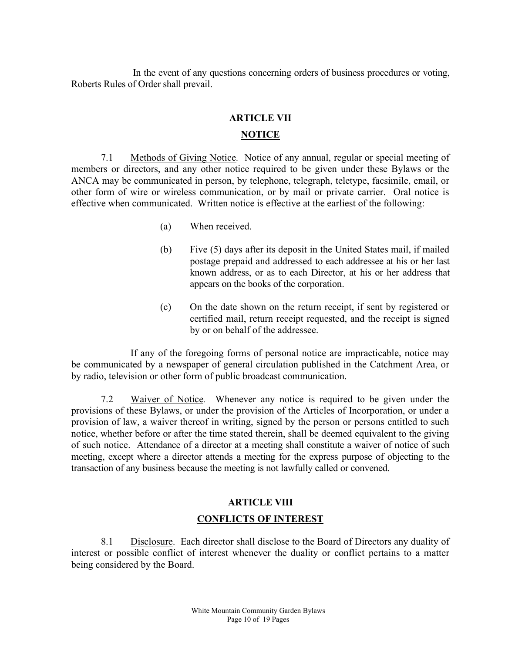In the event of any questions concerning orders of business procedures or voting, Roberts Rules of Order shall prevail.

#### ARTICLE VII

#### NOTICE

7.1 Methods of Giving Notice. Notice of any annual, regular or special meeting of members or directors, and any other notice required to be given under these Bylaws or the ANCA may be communicated in person, by telephone, telegraph, teletype, facsimile, email, or other form of wire or wireless communication, or by mail or private carrier. Oral notice is effective when communicated. Written notice is effective at the earliest of the following:

- (a) When received.
- (b) Five (5) days after its deposit in the United States mail, if mailed postage prepaid and addressed to each addressee at his or her last known address, or as to each Director, at his or her address that appears on the books of the corporation.
- (c) On the date shown on the return receipt, if sent by registered or certified mail, return receipt requested, and the receipt is signed by or on behalf of the addressee.

If any of the foregoing forms of personal notice are impracticable, notice may be communicated by a newspaper of general circulation published in the Catchment Area, or by radio, television or other form of public broadcast communication.

7.2 Waiver of Notice. Whenever any notice is required to be given under the provisions of these Bylaws, or under the provision of the Articles of Incorporation, or under a provision of law, a waiver thereof in writing, signed by the person or persons entitled to such notice, whether before or after the time stated therein, shall be deemed equivalent to the giving of such notice. Attendance of a director at a meeting shall constitute a waiver of notice of such meeting, except where a director attends a meeting for the express purpose of objecting to the transaction of any business because the meeting is not lawfully called or convened.

# ARTICLE VIII CONFLICTS OF INTEREST

8.1 Disclosure. Each director shall disclose to the Board of Directors any duality of interest or possible conflict of interest whenever the duality or conflict pertains to a matter being considered by the Board.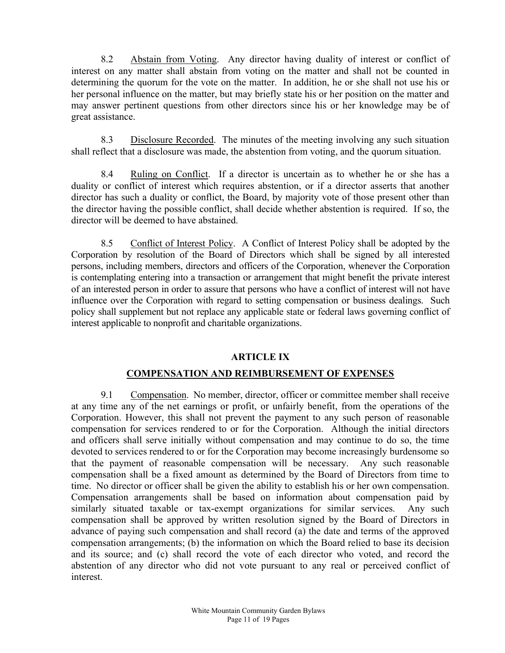8.2 Abstain from Voting. Any director having duality of interest or conflict of interest on any matter shall abstain from voting on the matter and shall not be counted in determining the quorum for the vote on the matter. In addition, he or she shall not use his or her personal influence on the matter, but may briefly state his or her position on the matter and may answer pertinent questions from other directors since his or her knowledge may be of great assistance.

8.3 Disclosure Recorded. The minutes of the meeting involving any such situation shall reflect that a disclosure was made, the abstention from voting, and the quorum situation.

8.4 Ruling on Conflict. If a director is uncertain as to whether he or she has a duality or conflict of interest which requires abstention, or if a director asserts that another director has such a duality or conflict, the Board, by majority vote of those present other than the director having the possible conflict, shall decide whether abstention is required. If so, the director will be deemed to have abstained.

 8.5 Conflict of Interest Policy. A Conflict of Interest Policy shall be adopted by the Corporation by resolution of the Board of Directors which shall be signed by all interested persons, including members, directors and officers of the Corporation, whenever the Corporation is contemplating entering into a transaction or arrangement that might benefit the private interest of an interested person in order to assure that persons who have a conflict of interest will not have influence over the Corporation with regard to setting compensation or business dealings. Such policy shall supplement but not replace any applicable state or federal laws governing conflict of interest applicable to nonprofit and charitable organizations.

#### ARTICLE IX

# COMPENSATION AND REIMBURSEMENT OF EXPENSES

9.1 Compensation. No member, director, officer or committee member shall receive at any time any of the net earnings or profit, or unfairly benefit, from the operations of the Corporation. However, this shall not prevent the payment to any such person of reasonable compensation for services rendered to or for the Corporation. Although the initial directors and officers shall serve initially without compensation and may continue to do so, the time devoted to services rendered to or for the Corporation may become increasingly burdensome so that the payment of reasonable compensation will be necessary. Any such reasonable compensation shall be a fixed amount as determined by the Board of Directors from time to time. No director or officer shall be given the ability to establish his or her own compensation. Compensation arrangements shall be based on information about compensation paid by similarly situated taxable or tax-exempt organizations for similar services. Any such compensation shall be approved by written resolution signed by the Board of Directors in advance of paying such compensation and shall record (a) the date and terms of the approved compensation arrangements; (b) the information on which the Board relied to base its decision and its source; and (c) shall record the vote of each director who voted, and record the abstention of any director who did not vote pursuant to any real or perceived conflict of interest.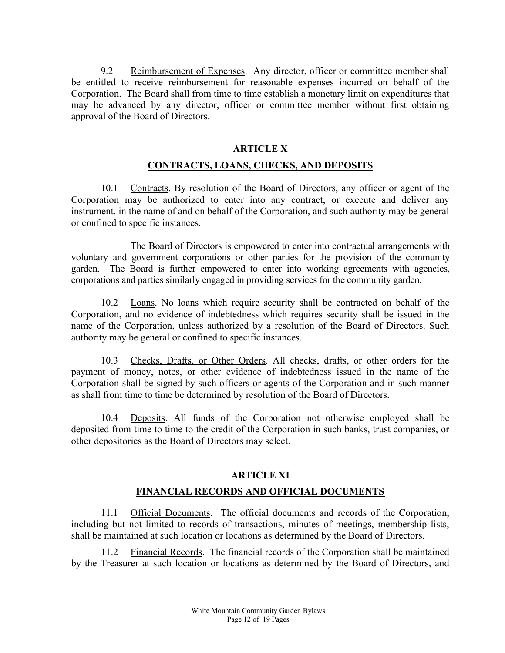9.2 Reimbursement of Expenses. Any director, officer or committee member shall be entitled to receive reimbursement for reasonable expenses incurred on behalf of the Corporation. The Board shall from time to time establish a monetary limit on expenditures that may be advanced by any director, officer or committee member without first obtaining approval of the Board of Directors.

#### ARTICLE X

#### CONTRACTS, LOANS, CHECKS, AND DEPOSITS

10.1 Contracts. By resolution of the Board of Directors, any officer or agent of the Corporation may be authorized to enter into any contract, or execute and deliver any instrument, in the name of and on behalf of the Corporation, and such authority may be general or confined to specific instances.

 The Board of Directors is empowered to enter into contractual arrangements with voluntary and government corporations or other parties for the provision of the community garden. The Board is further empowered to enter into working agreements with agencies, corporations and parties similarly engaged in providing services for the community garden.

10.2 Loans. No loans which require security shall be contracted on behalf of the Corporation, and no evidence of indebtedness which requires security shall be issued in the name of the Corporation, unless authorized by a resolution of the Board of Directors. Such authority may be general or confined to specific instances.

10.3 Checks, Drafts, or Other Orders. All checks, drafts, or other orders for the payment of money, notes, or other evidence of indebtedness issued in the name of the Corporation shall be signed by such officers or agents of the Corporation and in such manner as shall from time to time be determined by resolution of the Board of Directors.

10.4 Deposits. All funds of the Corporation not otherwise employed shall be deposited from time to time to the credit of the Corporation in such banks, trust companies, or other depositories as the Board of Directors may select.

# ARTICLE XI FINANCIAL RECORDS AND OFFICIAL DOCUMENTS

11.1 Official Documents. The official documents and records of the Corporation, including but not limited to records of transactions, minutes of meetings, membership lists, shall be maintained at such location or locations as determined by the Board of Directors.

11.2 Financial Records. The financial records of the Corporation shall be maintained by the Treasurer at such location or locations as determined by the Board of Directors, and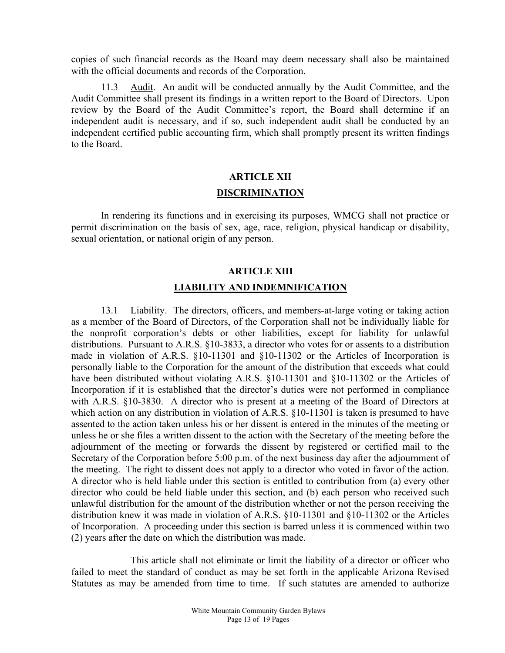copies of such financial records as the Board may deem necessary shall also be maintained with the official documents and records of the Corporation.

11.3 Audit. An audit will be conducted annually by the Audit Committee, and the Audit Committee shall present its findings in a written report to the Board of Directors. Upon review by the Board of the Audit Committee's report, the Board shall determine if an independent audit is necessary, and if so, such independent audit shall be conducted by an independent certified public accounting firm, which shall promptly present its written findings to the Board.

# ARTICLE XII DISCRIMINATION

In rendering its functions and in exercising its purposes, WMCG shall not practice or permit discrimination on the basis of sex, age, race, religion, physical handicap or disability, sexual orientation, or national origin of any person.

# ARTICLE XIII LIABILITY AND INDEMNIFICATION

13.1 Liability. The directors, officers, and members-at-large voting or taking action as a member of the Board of Directors, of the Corporation shall not be individually liable for the nonprofit corporation's debts or other liabilities, except for liability for unlawful distributions. Pursuant to A.R.S. §10-3833, a director who votes for or assents to a distribution made in violation of A.R.S. §10-11301 and §10-11302 or the Articles of Incorporation is personally liable to the Corporation for the amount of the distribution that exceeds what could have been distributed without violating A.R.S. §10-11301 and §10-11302 or the Articles of Incorporation if it is established that the director's duties were not performed in compliance with A.R.S. §10-3830. A director who is present at a meeting of the Board of Directors at which action on any distribution in violation of A.R.S. §10-11301 is taken is presumed to have assented to the action taken unless his or her dissent is entered in the minutes of the meeting or unless he or she files a written dissent to the action with the Secretary of the meeting before the adjournment of the meeting or forwards the dissent by registered or certified mail to the Secretary of the Corporation before 5:00 p.m. of the next business day after the adjournment of the meeting. The right to dissent does not apply to a director who voted in favor of the action. A director who is held liable under this section is entitled to contribution from (a) every other director who could be held liable under this section, and (b) each person who received such unlawful distribution for the amount of the distribution whether or not the person receiving the distribution knew it was made in violation of A.R.S. §10-11301 and §10-11302 or the Articles of Incorporation. A proceeding under this section is barred unless it is commenced within two (2) years after the date on which the distribution was made.

This article shall not eliminate or limit the liability of a director or officer who failed to meet the standard of conduct as may be set forth in the applicable Arizona Revised Statutes as may be amended from time to time. If such statutes are amended to authorize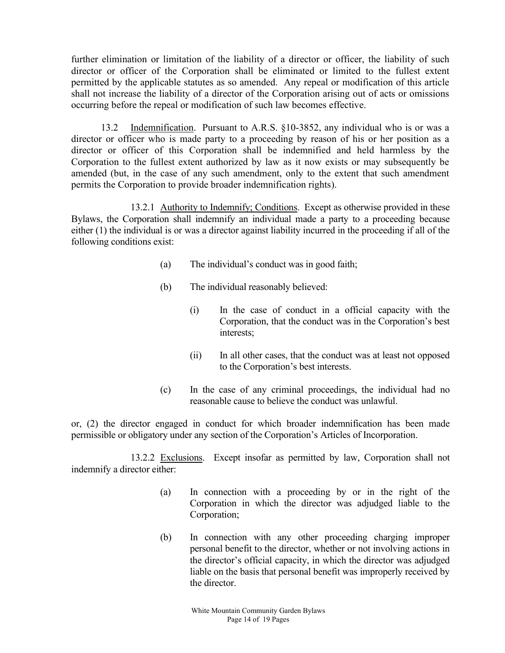further elimination or limitation of the liability of a director or officer, the liability of such director or officer of the Corporation shall be eliminated or limited to the fullest extent permitted by the applicable statutes as so amended. Any repeal or modification of this article shall not increase the liability of a director of the Corporation arising out of acts or omissions occurring before the repeal or modification of such law becomes effective.

13.2 Indemnification. Pursuant to A.R.S. §10-3852, any individual who is or was a director or officer who is made party to a proceeding by reason of his or her position as a director or officer of this Corporation shall be indemnified and held harmless by the Corporation to the fullest extent authorized by law as it now exists or may subsequently be amended (but, in the case of any such amendment, only to the extent that such amendment permits the Corporation to provide broader indemnification rights).

 13.2.1 Authority to Indemnify; Conditions. Except as otherwise provided in these Bylaws, the Corporation shall indemnify an individual made a party to a proceeding because either (1) the individual is or was a director against liability incurred in the proceeding if all of the following conditions exist:

- (a) The individual's conduct was in good faith;
- (b) The individual reasonably believed:
	- (i) In the case of conduct in a official capacity with the Corporation, that the conduct was in the Corporation's best interests;
	- (ii) In all other cases, that the conduct was at least not opposed to the Corporation's best interests.
- (c) In the case of any criminal proceedings, the individual had no reasonable cause to believe the conduct was unlawful.

or, (2) the director engaged in conduct for which broader indemnification has been made permissible or obligatory under any section of the Corporation's Articles of Incorporation.

 13.2.2 Exclusions. Except insofar as permitted by law, Corporation shall not indemnify a director either:

- (a) In connection with a proceeding by or in the right of the Corporation in which the director was adjudged liable to the Corporation;
- (b) In connection with any other proceeding charging improper personal benefit to the director, whether or not involving actions in the director's official capacity, in which the director was adjudged liable on the basis that personal benefit was improperly received by the director.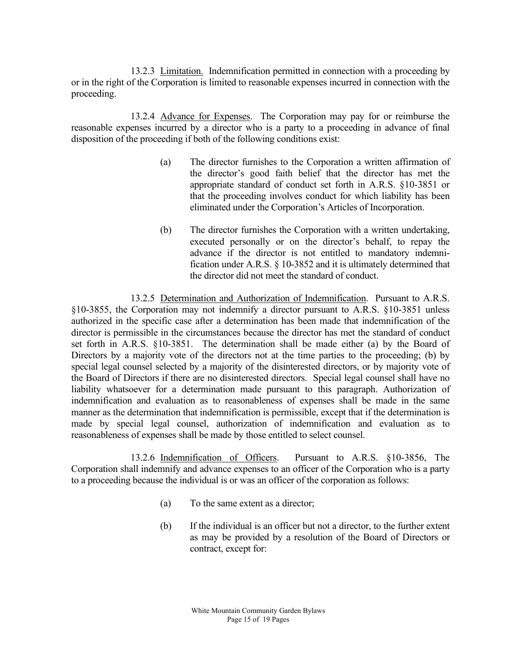13.2.3 Limitation. Indemnification permitted in connection with a proceeding by or in the right of the Corporation is limited to reasonable expenses incurred in connection with the proceeding.

 13.2.4 Advance for Expenses. The Corporation may pay for or reimburse the reasonable expenses incurred by a director who is a party to a proceeding in advance of final disposition of the proceeding if both of the following conditions exist:

- (a) The director furnishes to the Corporation a written affirmation of the director's good faith belief that the director has met the appropriate standard of conduct set forth in A.R.S. §10-3851 or that the proceeding involves conduct for which liability has been eliminated under the Corporation's Articles of Incorporation.
- (b) The director furnishes the Corporation with a written undertaking, executed personally or on the director's behalf, to repay the advance if the director is not entitled to mandatory indemnification under A.R.S. § 10-3852 and it is ultimately determined that the director did not meet the standard of conduct.

 13.2.5 Determination and Authorization of Indemnification. Pursuant to A.R.S. §10-3855, the Corporation may not indemnify a director pursuant to A.R.S. §10-3851 unless authorized in the specific case after a determination has been made that indemnification of the director is permissible in the circumstances because the director has met the standard of conduct set forth in A.R.S. §10-3851. The determination shall be made either (a) by the Board of Directors by a majority vote of the directors not at the time parties to the proceeding; (b) by special legal counsel selected by a majority of the disinterested directors, or by majority vote of the Board of Directors if there are no disinterested directors. Special legal counsel shall have no liability whatsoever for a determination made pursuant to this paragraph. Authorization of indemnification and evaluation as to reasonableness of expenses shall be made in the same manner as the determination that indemnification is permissible, except that if the determination is made by special legal counsel, authorization of indemnification and evaluation as to reasonableness of expenses shall be made by those entitled to select counsel.

 13.2.6 Indemnification of Officers. Pursuant to A.R.S. §10-3856, The Corporation shall indemnify and advance expenses to an officer of the Corporation who is a party to a proceeding because the individual is or was an officer of the corporation as follows:

- (a) To the same extent as a director;
- (b) If the individual is an officer but not a director, to the further extent as may be provided by a resolution of the Board of Directors or contract, except for: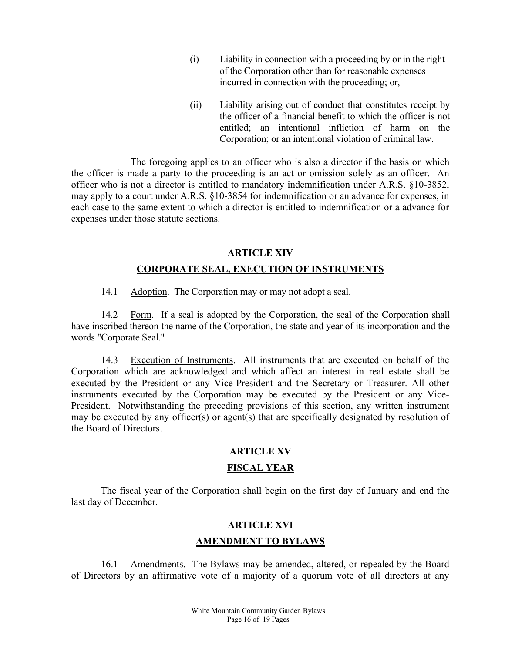- (i) Liability in connection with a proceeding by or in the right of the Corporation other than for reasonable expenses incurred in connection with the proceeding; or,
- (ii) Liability arising out of conduct that constitutes receipt by the officer of a financial benefit to which the officer is not entitled; an intentional infliction of harm on the Corporation; or an intentional violation of criminal law.

 The foregoing applies to an officer who is also a director if the basis on which the officer is made a party to the proceeding is an act or omission solely as an officer. An officer who is not a director is entitled to mandatory indemnification under A.R.S. §10-3852, may apply to a court under A.R.S. §10-3854 for indemnification or an advance for expenses, in each case to the same extent to which a director is entitled to indemnification or a advance for expenses under those statute sections.

#### ARTICLE XIV

#### CORPORATE SEAL, EXECUTION OF INSTRUMENTS

14.1 Adoption. The Corporation may or may not adopt a seal.

 14.2 Form. If a seal is adopted by the Corporation, the seal of the Corporation shall have inscribed thereon the name of the Corporation, the state and year of its incorporation and the words "Corporate Seal."

14.3 Execution of Instruments. All instruments that are executed on behalf of the Corporation which are acknowledged and which affect an interest in real estate shall be executed by the President or any Vice-President and the Secretary or Treasurer. All other instruments executed by the Corporation may be executed by the President or any Vice-President. Notwithstanding the preceding provisions of this section, any written instrument may be executed by any officer(s) or agent(s) that are specifically designated by resolution of the Board of Directors.

# ARTICLE XV

# FISCAL YEAR

The fiscal year of the Corporation shall begin on the first day of January and end the last day of December.

#### ARTICLE XVI

#### AMENDMENT TO BYLAWS

16.1 Amendments. The Bylaws may be amended, altered, or repealed by the Board of Directors by an affirmative vote of a majority of a quorum vote of all directors at any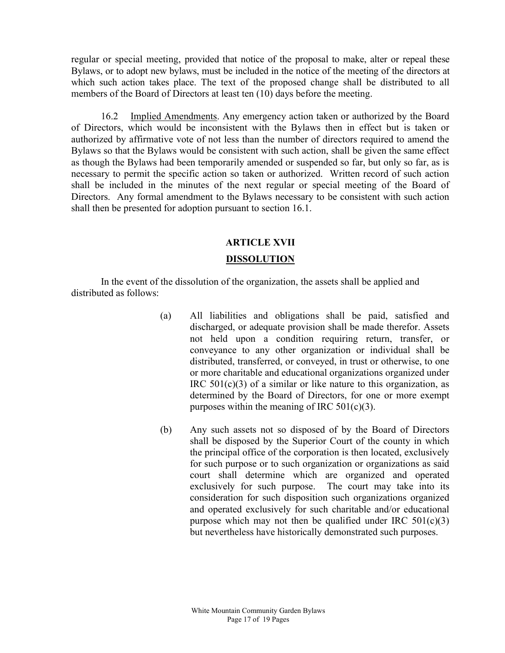regular or special meeting, provided that notice of the proposal to make, alter or repeal these Bylaws, or to adopt new bylaws, must be included in the notice of the meeting of the directors at which such action takes place. The text of the proposed change shall be distributed to all members of the Board of Directors at least ten (10) days before the meeting.

16.2 Implied Amendments. Any emergency action taken or authorized by the Board of Directors, which would be inconsistent with the Bylaws then in effect but is taken or authorized by affirmative vote of not less than the number of directors required to amend the Bylaws so that the Bylaws would be consistent with such action, shall be given the same effect as though the Bylaws had been temporarily amended or suspended so far, but only so far, as is necessary to permit the specific action so taken or authorized. Written record of such action shall be included in the minutes of the next regular or special meeting of the Board of Directors. Any formal amendment to the Bylaws necessary to be consistent with such action shall then be presented for adoption pursuant to section 16.1.

# ARTICLE XVII DISSOLUTION

In the event of the dissolution of the organization, the assets shall be applied and distributed as follows:

- (a) All liabilities and obligations shall be paid, satisfied and discharged, or adequate provision shall be made therefor. Assets not held upon a condition requiring return, transfer, or conveyance to any other organization or individual shall be distributed, transferred, or conveyed, in trust or otherwise, to one or more charitable and educational organizations organized under IRC  $501(c)(3)$  of a similar or like nature to this organization, as determined by the Board of Directors, for one or more exempt purposes within the meaning of IRC  $501(c)(3)$ .
- (b) Any such assets not so disposed of by the Board of Directors shall be disposed by the Superior Court of the county in which the principal office of the corporation is then located, exclusively for such purpose or to such organization or organizations as said court shall determine which are organized and operated exclusively for such purpose. The court may take into its consideration for such disposition such organizations organized and operated exclusively for such charitable and/or educational purpose which may not then be qualified under IRC  $501(c)(3)$ but nevertheless have historically demonstrated such purposes.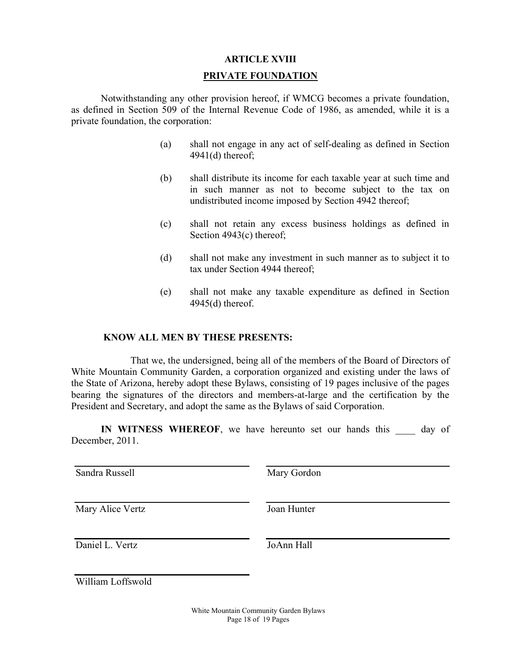# ARTICLE XVIII

#### PRIVATE FOUNDATION

 Notwithstanding any other provision hereof, if WMCG becomes a private foundation, as defined in Section 509 of the Internal Revenue Code of 1986, as amended, while it is a private foundation, the corporation:

- (a) shall not engage in any act of self-dealing as defined in Section 4941(d) thereof;
- (b) shall distribute its income for each taxable year at such time and in such manner as not to become subject to the tax on undistributed income imposed by Section 4942 thereof;
- (c) shall not retain any excess business holdings as defined in Section 4943(c) thereof;
- (d) shall not make any investment in such manner as to subject it to tax under Section 4944 thereof;
- (e) shall not make any taxable expenditure as defined in Section 4945(d) thereof.

#### KNOW ALL MEN BY THESE PRESENTS:

That we, the undersigned, being all of the members of the Board of Directors of White Mountain Community Garden, a corporation organized and existing under the laws of the State of Arizona, hereby adopt these Bylaws, consisting of 19 pages inclusive of the pages bearing the signatures of the directors and members-at-large and the certification by the President and Secretary, and adopt the same as the Bylaws of said Corporation.

IN WITNESS WHEREOF, we have hereunto set our hands this day of December, 2011.

Sandra Russell Mary Gordon

Mary Alice Vertz

Joan Hunter

Daniel L. Vertz

JoAnn Hall

William Loffswold